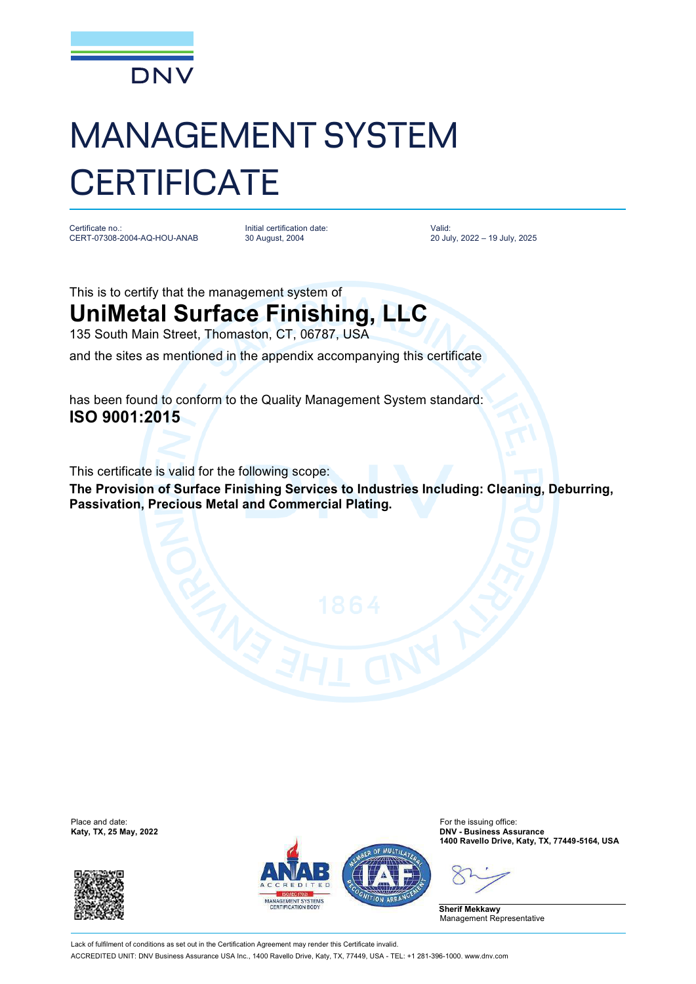

## MANAGEMENT SYSTEM **CERTIFICATE**

Certificate no.: CERT-07308-2004-AQ-HOU-ANAB

Initial certification date: 30 August, 2004

Valid: 20 July, 2022 – 19 July, 2025

## This is to certify that the management system of **UniMetal Surface Finishing, LLC**

135 South Main Street, Thomaston, CT, 06787, USA and the sites as mentioned in the appendix accompanying this certificate

has been found to conform to the Quality Management System standard: **ISO 9001:2015**

This certificate is valid for the following scope:

**The Provision of Surface Finishing Services to Industries Including: Cleaning, Deburring, Passivation, Precious Metal and Commercial Plating.**

Place and date:<br>Katy, TX, 25 May, 2022





For the issuing office:<br>**DNV - Business Assurance 1400 Ravello Drive, Katy, TX, 77449-5164, USA**

**Sherif Mekkawy** Management Representative

Lack of fulfilment of conditions as set out in the Certification Agreement may render this Certificate invalid ACCREDITED UNIT: DNV Business Assurance USA Inc., 1400 Ravello Drive, Katy, TX, 77449, USA - TEL: +1 281-396-1000. [www.dnv.com](http://www.dnv.com)